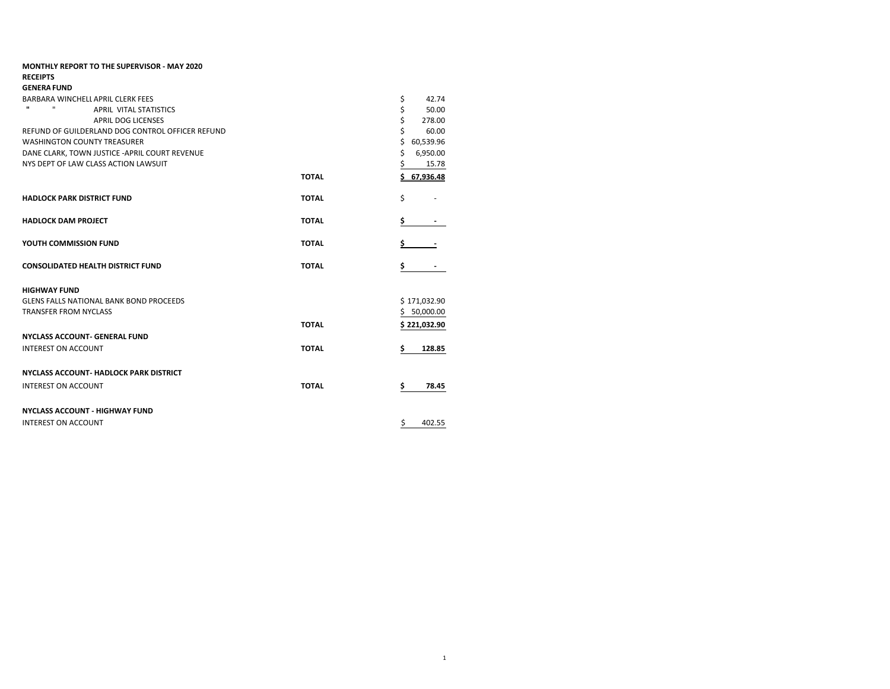| <b>MONTHLY REPORT TO THE SUPERVISOR - MAY 2020</b>     |              |                 |
|--------------------------------------------------------|--------------|-----------------|
| <b>RECEIPTS</b>                                        |              |                 |
| <b>GENERA FUND</b>                                     |              |                 |
| BARBARA WINCHELL APRIL CLERK FEES                      |              | \$<br>42.74     |
| $\mathbf{u}$<br>$\mathbf{u}$<br>APRIL VITAL STATISTICS |              | \$<br>50.00     |
| <b>APRIL DOG LICENSES</b>                              |              | \$<br>278.00    |
| REFUND OF GUILDERLAND DOG CONTROL OFFICER REFUND       |              | \$<br>60.00     |
| <b>WASHINGTON COUNTY TREASURER</b>                     |              | \$<br>60,539.96 |
| DANE CLARK, TOWN JUSTICE - APRIL COURT REVENUE         |              | \$<br>6,950.00  |
| NYS DEPT OF LAW CLASS ACTION LAWSUIT                   |              | \$<br>15.78     |
|                                                        | <b>TOTAL</b> | \$67,936.48     |
| <b>HADLOCK PARK DISTRICT FUND</b>                      | <b>TOTAL</b> | \$              |
| <b>HADLOCK DAM PROJECT</b>                             | <b>TOTAL</b> | \$              |
|                                                        |              |                 |
| YOUTH COMMISSION FUND                                  | <b>TOTAL</b> |                 |
| <b>CONSOLIDATED HEALTH DISTRICT FUND</b>               | <b>TOTAL</b> | \$              |
| <b>HIGHWAY FUND</b>                                    |              |                 |
| <b>GLENS FALLS NATIONAL BANK BOND PROCEEDS</b>         |              | \$171,032.90    |
| <b>TRANSFER FROM NYCLASS</b>                           |              | 50,000.00<br>S. |
|                                                        | <b>TOTAL</b> | \$221,032.90    |
| <b>NYCLASS ACCOUNT- GENERAL FUND</b>                   |              |                 |
| <b>INTEREST ON ACCOUNT</b>                             | <b>TOTAL</b> | \$<br>128.85    |
| <b>NYCLASS ACCOUNT- HADLOCK PARK DISTRICT</b>          |              |                 |
| <b>INTEREST ON ACCOUNT</b>                             | <b>TOTAL</b> | \$<br>78.45     |
|                                                        |              |                 |
| <b>NYCLASS ACCOUNT - HIGHWAY FUND</b>                  |              |                 |
| INTEREST ON ACCOUNT                                    |              | \$<br>402.55    |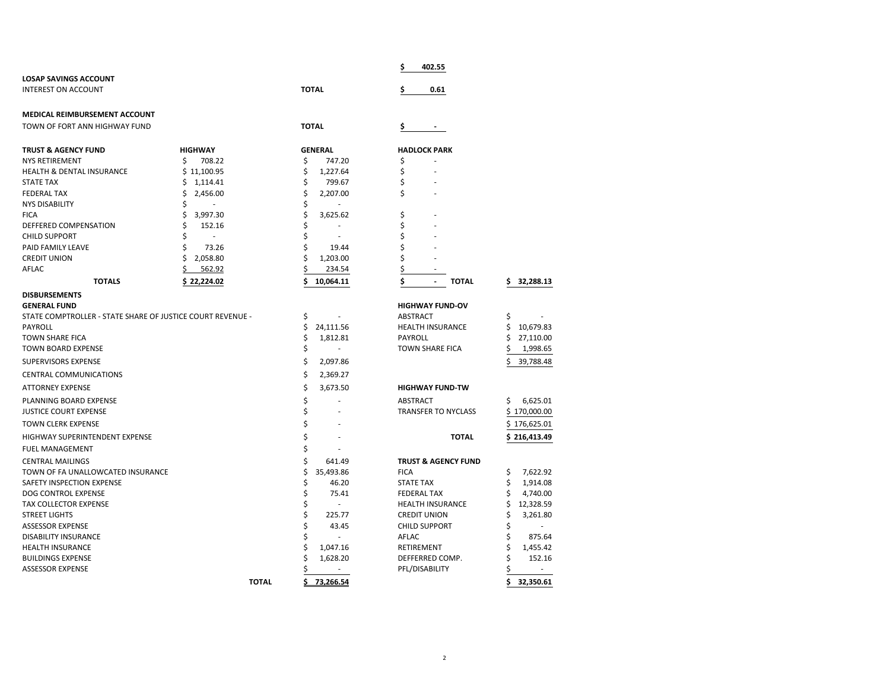|                                                            |                |                          | 402.55<br>\$                                   |                 |
|------------------------------------------------------------|----------------|--------------------------|------------------------------------------------|-----------------|
| <b>LOSAP SAVINGS ACCOUNT</b>                               |                |                          |                                                |                 |
| <b>INTEREST ON ACCOUNT</b>                                 |                | <b>TOTAL</b>             | Ś<br>0.61                                      |                 |
| MEDICAL REIMBURSEMENT ACCOUNT                              |                |                          |                                                |                 |
| TOWN OF FORT ANN HIGHWAY FUND                              |                | <b>TOTAL</b>             | \$                                             |                 |
| <b>TRUST &amp; AGENCY FUND</b>                             | <b>HIGHWAY</b> | <b>GENERAL</b>           | <b>HADLOCK PARK</b>                            |                 |
| <b>NYS RETIREMENT</b>                                      | \$<br>708.22   | 747.20<br>\$             | \$                                             |                 |
| <b>HEALTH &amp; DENTAL INSURANCE</b>                       | \$11,100.95    | \$<br>1,227.64           | \$                                             |                 |
| <b>STATE TAX</b>                                           | \$<br>1,114.41 | \$<br>799.67             | \$                                             |                 |
| <b>FEDERAL TAX</b>                                         | \$<br>2,456.00 | \$<br>2,207.00           | \$                                             |                 |
| <b>NYS DISABILITY</b>                                      | \$<br>÷.       | \$                       |                                                |                 |
| <b>FICA</b>                                                | \$<br>3,997.30 | \$<br>3,625.62           | \$                                             |                 |
| DEFFERED COMPENSATION                                      | \$<br>152.16   | \$                       | \$                                             |                 |
| <b>CHILD SUPPORT</b>                                       | \$             | \$                       | \$                                             |                 |
| PAID FAMILY LEAVE                                          | 73.26<br>Ś     | Ś<br>19.44               | \$                                             |                 |
| <b>CREDIT UNION</b>                                        | Ś<br>2,058.80  | \$<br>1,203.00           | \$                                             |                 |
| AFLAC                                                      | Ś<br>562.92    | Ś<br>234.54              | \$                                             |                 |
| <b>TOTALS</b>                                              | \$22,224.02    | \$<br>10,064.11          | \$<br><b>TOTAL</b><br>$\overline{\phantom{a}}$ | 32,288.13<br>s  |
| <b>DISBURSEMENTS</b>                                       |                |                          |                                                |                 |
| <b>GENERAL FUND</b>                                        |                |                          | <b>HIGHWAY FUND-OV</b>                         |                 |
| STATE COMPTROLLER - STATE SHARE OF JUSTICE COURT REVENUE - |                | \$                       | ABSTRACT                                       | Ş               |
| PAYROLL                                                    |                | \$<br>24,111.56          | <b>HEALTH INSURANCE</b>                        | \$<br>10,679.83 |
| <b>TOWN SHARE FICA</b>                                     |                | \$<br>1,812.81<br>$\sim$ | PAYROLL                                        | \$<br>27,110.00 |
| TOWN BOARD EXPENSE                                         |                | \$                       | <b>TOWN SHARE FICA</b>                         | 1,998.65        |
| SUPERVISORS EXPENSE                                        |                | \$<br>2,097.86           |                                                | Ś<br>39,788.48  |
| <b>CENTRAL COMMUNICATIONS</b>                              |                | \$<br>2,369.27           |                                                |                 |
| <b>ATTORNEY EXPENSE</b>                                    |                | \$<br>3,673.50           | <b>HIGHWAY FUND-TW</b>                         |                 |
| PLANNING BOARD EXPENSE                                     |                | \$                       | ABSTRACT                                       | \$<br>6,625.01  |
| <b>JUSTICE COURT EXPENSE</b>                               |                | \$                       | <b>TRANSFER TO NYCLASS</b>                     | \$170,000.00    |
| <b>TOWN CLERK EXPENSE</b>                                  |                | \$                       |                                                | \$176,625.01    |
| <b>HIGHWAY SUPERINTENDENT EXPENSE</b>                      |                | \$                       | <b>TOTAL</b>                                   | \$216,413.49    |
| FUEL MANAGEMENT                                            |                | Ś                        |                                                |                 |
| <b>CENTRAL MAILINGS</b>                                    |                | \$<br>641.49             | <b>TRUST &amp; AGENCY FUND</b>                 |                 |
| TOWN OF FA UNALLOWCATED INSURANCE                          |                | \$<br>35,493.86          | <b>FICA</b>                                    | 7,622.92<br>\$  |
| SAFETY INSPECTION EXPENSE                                  |                | \$<br>46.20              | <b>STATE TAX</b>                               | \$<br>1,914.08  |
| DOG CONTROL EXPENSE                                        |                | \$<br>75.41              | <b>FEDERAL TAX</b>                             | \$<br>4,740.00  |
| <b>TAX COLLECTOR EXPENSE</b>                               |                | \$                       | <b>HEALTH INSURANCE</b>                        | \$<br>12,328.59 |
| <b>STREET LIGHTS</b>                                       |                | \$<br>225.77             | <b>CREDIT UNION</b>                            | \$<br>3,261.80  |
| <b>ASSESSOR EXPENSE</b>                                    |                | Ś<br>43.45               | <b>CHILD SUPPORT</b>                           | \$              |
| DISABILITY INSURANCE                                       |                | Ś                        | AFLAC                                          | \$<br>875.64    |
| <b>HEALTH INSURANCE</b>                                    |                | 1,047.16                 | RETIREMENT                                     | \$<br>1,455.42  |
| <b>BUILDINGS EXPENSE</b>                                   |                | 1,628.20                 | DEFFERRED COMP.                                | \$<br>152.16    |
| <b>ASSESSOR EXPENSE</b>                                    |                | $\overline{\phantom{a}}$ | PFL/DISABILITY                                 | \$              |
|                                                            | <b>TOTAL</b>   | \$.<br>73,266.54         |                                                | \$<br>32,350.61 |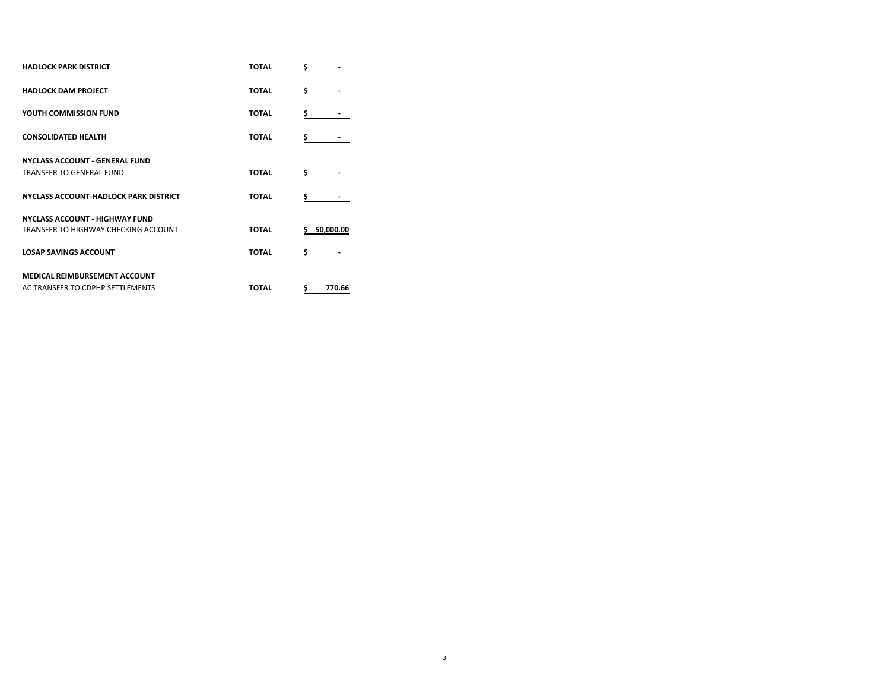| <b>HADLOCK PARK DISTRICT</b>                 | <b>TOTAL</b> | \$           |
|----------------------------------------------|--------------|--------------|
| <b>HADLOCK DAM PROJECT</b>                   | <b>TOTAL</b> | \$           |
| YOUTH COMMISSION FUND                        | <b>TOTAL</b> | \$           |
| <b>CONSOLIDATED HEALTH</b>                   | <b>TOTAL</b> | \$           |
| <b>NYCLASS ACCOUNT - GENERAL FUND</b>        |              |              |
| <b>TRANSFER TO GENERAL FUND</b>              | <b>TOTAL</b> | \$.          |
| <b>NYCLASS ACCOUNT-HADLOCK PARK DISTRICT</b> | <b>TOTAL</b> | \$           |
| <b>NYCLASS ACCOUNT - HIGHWAY FUND</b>        |              |              |
| TRANSFER TO HIGHWAY CHECKING ACCOUNT         | <b>TOTAL</b> | 5 50.000.00  |
| <b>LOSAP SAVINGS ACCOUNT</b>                 | <b>TOTAL</b> | \$           |
| <b>MEDICAL REIMBURSEMENT ACCOUNT</b>         |              |              |
| AC TRANSFER TO CDPHP SETTLEMENTS             | <b>TOTAL</b> | \$<br>770.66 |